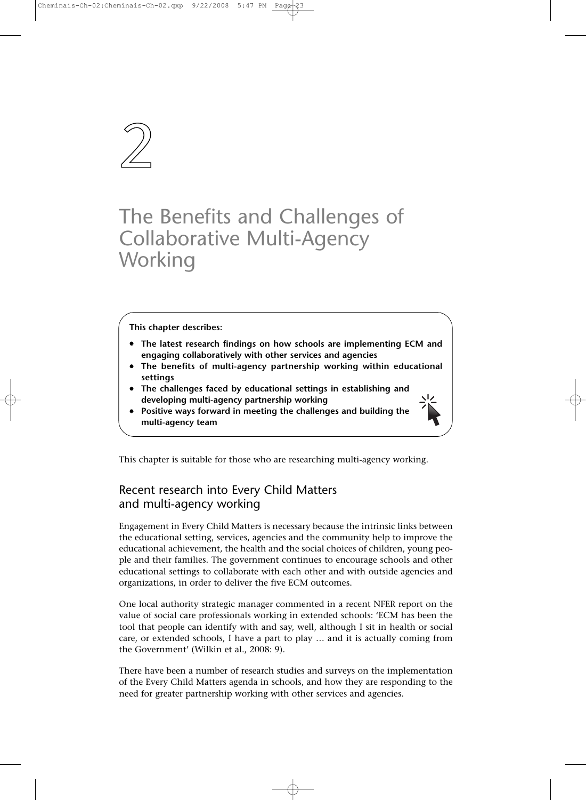

# The Benefits and Challenges of Collaborative Multi-Agency **Working**

#### **This chapter describes:**

- **The latest research findings on how schools are implementing ECM and engaging collaboratively with other services and agencies**
- **The benefits of multi-agency partnership working within educational settings**
- **The challenges faced by educational settings in establishing and developing multi-agency partnership working**
- **Positive ways forward in meeting the challenges and building the multi-agency team**

This chapter is suitable for those who are researching multi-agency working.

# Recent research into Every Child Matters and multi-agency working

Engagement in Every Child Matters is necessary because the intrinsic links between the educational setting, services, agencies and the community help to improve the educational achievement, the health and the social choices of children, young people and their families. The government continues to encourage schools and other educational settings to collaborate with each other and with outside agencies and organizations, in order to deliver the five ECM outcomes.

One local authority strategic manager commented in a recent NFER report on the value of social care professionals working in extended schools: 'ECM has been the tool that people can identify with and say, well, although I sit in health or social care, or extended schools, I have a part to play … and it is actually coming from the Government' (Wilkin et al., 2008: 9).

There have been a number of research studies and surveys on the implementation of the Every Child Matters agenda in schools, and how they are responding to the need for greater partnership working with other services and agencies.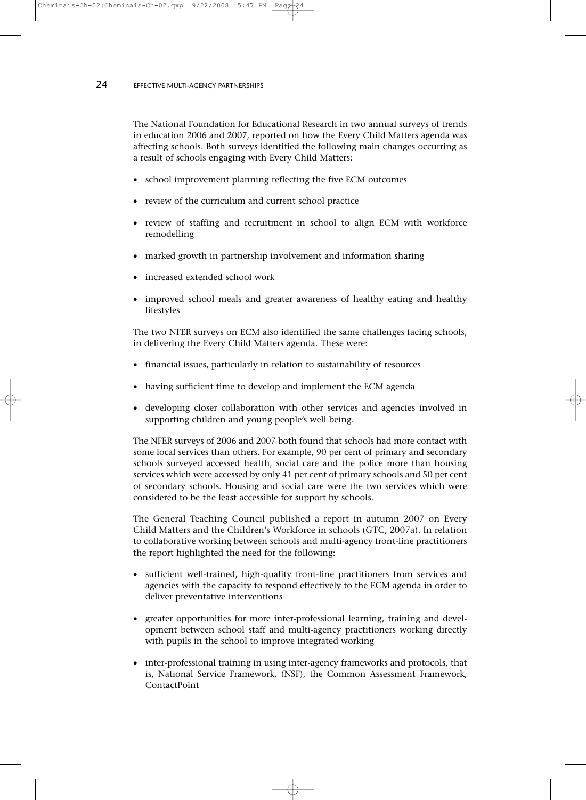The National Foundation for Educational Research in two annual surveys of trends in education 2006 and 2007, reported on how the Every Child Matters agenda was affecting schools. Both surveys identified the following main changes occurring as a result of schools engaging with Every Child Matters:

- school improvement planning reflecting the five ECM outcomes
- review of the curriculum and current school practice
- review of staffing and recruitment in school to align ECM with workforce remodelling
- marked growth in partnership involvement and information sharing
- increased extended school work
- improved school meals and greater awareness of healthy eating and healthy lifestyles

The two NFER surveys on ECM also identified the same challenges facing schools, in delivering the Every Child Matters agenda. These were:

- financial issues, particularly in relation to sustainability of resources
- having sufficient time to develop and implement the ECM agenda
- developing closer collaboration with other services and agencies involved in supporting children and young people's well being.

The NFER surveys of 2006 and 2007 both found that schools had more contact with some local services than others. For example, 90 per cent of primary and secondary schools surveyed accessed health, social care and the police more than housing services which were accessed by only 41 per cent of primary schools and 50 per cent of secondary schools. Housing and social care were the two services which were considered to be the least accessible for support by schools.

The General Teaching Council published a report in autumn 2007 on Every Child Matters and the Children's Workforce in schools (GTC, 2007a). In relation to collaborative working between schools and multi-agency front-line practitioners the report highlighted the need for the following:

- sufficient well-trained, high-quality front-line practitioners from services and agencies with the capacity to respond effectively to the ECM agenda in order to deliver preventative interventions
- greater opportunities for more inter-professional learning, training and development between school staff and multi-agency practitioners working directly with pupils in the school to improve integrated working
- inter-professional training in using inter-agency frameworks and protocols, that is, National Service Framework, (NSF), the Common Assessment Framework, **ContactPoint**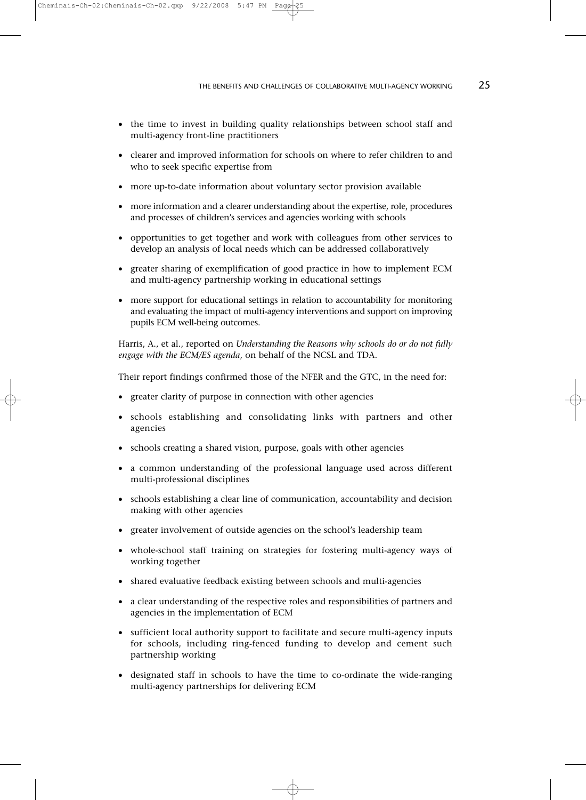- the time to invest in building quality relationships between school staff and multi-agency front-line practitioners
- clearer and improved information for schools on where to refer children to and who to seek specific expertise from
- more up-to-date information about voluntary sector provision available
- more information and a clearer understanding about the expertise, role, procedures and processes of children's services and agencies working with schools
- opportunities to get together and work with colleagues from other services to develop an analysis of local needs which can be addressed collaboratively
- greater sharing of exemplification of good practice in how to implement ECM and multi-agency partnership working in educational settings
- more support for educational settings in relation to accountability for monitoring and evaluating the impact of multi-agency interventions and support on improving pupils ECM well-being outcomes.

Harris, A., et al., reported on *Understanding the Reasons why schools do or do not fully engage with the ECM/ES agenda*, on behalf of the NCSL and TDA.

Their report findings confirmed those of the NFER and the GTC, in the need for:

- greater clarity of purpose in connection with other agencies
- schools establishing and consolidating links with partners and other agencies
- schools creating a shared vision, purpose, goals with other agencies
- a common understanding of the professional language used across different multi-professional disciplines
- schools establishing a clear line of communication, accountability and decision making with other agencies
- greater involvement of outside agencies on the school's leadership team
- whole-school staff training on strategies for fostering multi-agency ways of working together
- shared evaluative feedback existing between schools and multi-agencies
- a clear understanding of the respective roles and responsibilities of partners and agencies in the implementation of ECM
- sufficient local authority support to facilitate and secure multi-agency inputs for schools, including ring-fenced funding to develop and cement such partnership working
- designated staff in schools to have the time to co-ordinate the wide-ranging multi-agency partnerships for delivering ECM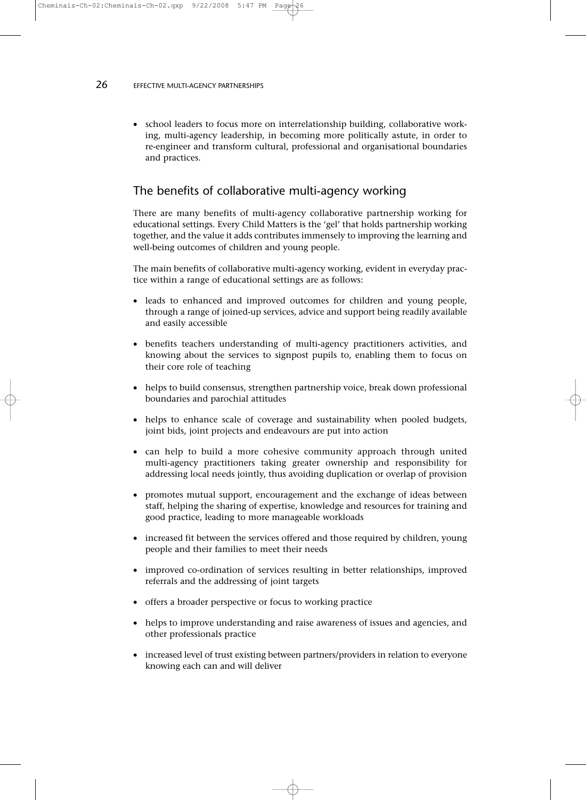school leaders to focus more on interrelationship building, collaborative working, multi-agency leadership, in becoming more politically astute, in order to re-engineer and transform cultural, professional and organisational boundaries and practices.

## The benefits of collaborative multi-agency working

There are many benefits of multi-agency collaborative partnership working for educational settings. Every Child Matters is the 'gel' that holds partnership working together, and the value it adds contributes immensely to improving the learning and well-being outcomes of children and young people.

The main benefits of collaborative multi-agency working, evident in everyday practice within a range of educational settings are as follows:

- leads to enhanced and improved outcomes for children and young people, through a range of joined-up services, advice and support being readily available and easily accessible
- benefits teachers understanding of multi-agency practitioners activities, and knowing about the services to signpost pupils to, enabling them to focus on their core role of teaching
- helps to build consensus, strengthen partnership voice, break down professional boundaries and parochial attitudes
- helps to enhance scale of coverage and sustainability when pooled budgets, joint bids, joint projects and endeavours are put into action
- can help to build a more cohesive community approach through united multi-agency practitioners taking greater ownership and responsibility for addressing local needs jointly, thus avoiding duplication or overlap of provision
- promotes mutual support, encouragement and the exchange of ideas between staff, helping the sharing of expertise, knowledge and resources for training and good practice, leading to more manageable workloads
- increased fit between the services offered and those required by children, young people and their families to meet their needs
- improved co-ordination of services resulting in better relationships, improved referrals and the addressing of joint targets
- offers a broader perspective or focus to working practice
- helps to improve understanding and raise awareness of issues and agencies, and other professionals practice
- increased level of trust existing between partners/providers in relation to everyone knowing each can and will deliver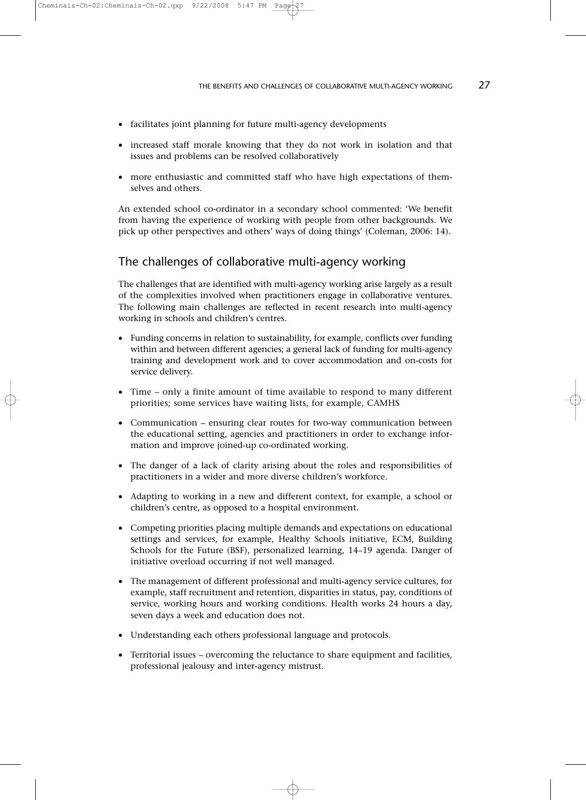- facilitates joint planning for future multi-agency developments
- increased staff morale knowing that they do not work in isolation and that issues and problems can be resolved collaboratively
- more enthusiastic and committed staff who have high expectations of themselves and others.

An extended school co-ordinator in a secondary school commented: 'We benefit from having the experience of working with people from other backgrounds. We pick up other perspectives and others' ways of doing things' (Coleman, 2006: 14).

# The challenges of collaborative multi-agency working

The challenges that are identified with multi-agency working arise largely as a result of the complexities involved when practitioners engage in collaborative ventures. The following main challenges are reflected in recent research into multi-agency working in schools and children's centres.

- Funding concerns in relation to sustainability, for example, conflicts over funding within and between different agencies; a general lack of funding for multi-agency training and development work and to cover accommodation and on-costs for service delivery.
- Time only a finite amount of time available to respond to many different priorities; some services have waiting lists, for example, CAMHS
- Communication ensuring clear routes for two-way communication between the educational setting, agencies and practitioners in order to exchange information and improve joined-up co-ordinated working.
- The danger of a lack of clarity arising about the roles and responsibilities of practitioners in a wider and more diverse children's workforce.
- Adapting to working in a new and different context, for example, a school or children's centre, as opposed to a hospital environment.
- Competing priorities placing multiple demands and expectations on educational settings and services, for example, Healthy Schools initiative, ECM, Building Schools for the Future (BSF), personalized learning, 14–19 agenda. Danger of initiative overload occurring if not well managed.
- The management of different professional and multi-agency service cultures, for example, staff recruitment and retention, disparities in status, pay, conditions of service, working hours and working conditions. Health works 24 hours a day, seven days a week and education does not.
- Understanding each others professional language and protocols.
- Territorial issues overcoming the reluctance to share equipment and facilities, professional jealousy and inter-agency mistrust.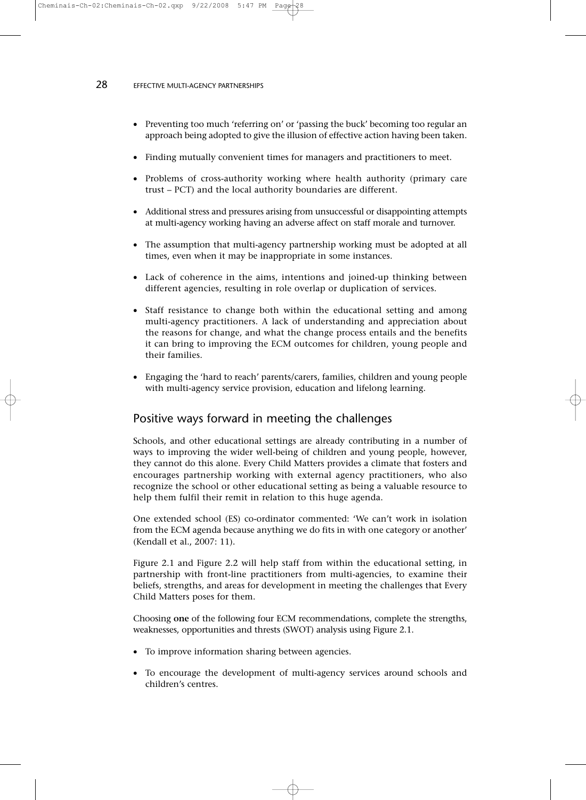- Preventing too much 'referring on' or 'passing the buck' becoming too regular an approach being adopted to give the illusion of effective action having been taken.
- Finding mutually convenient times for managers and practitioners to meet.
- Problems of cross-authority working where health authority (primary care trust – PCT) and the local authority boundaries are different.
- Additional stress and pressures arising from unsuccessful or disappointing attempts at multi-agency working having an adverse affect on staff morale and turnover.
- The assumption that multi-agency partnership working must be adopted at all times, even when it may be inappropriate in some instances.
- Lack of coherence in the aims, intentions and joined-up thinking between different agencies, resulting in role overlap or duplication of services.
- Staff resistance to change both within the educational setting and among multi-agency practitioners. A lack of understanding and appreciation about the reasons for change, and what the change process entails and the benefits it can bring to improving the ECM outcomes for children, young people and their families.
- Engaging the 'hard to reach' parents/carers, families, children and young people with multi-agency service provision, education and lifelong learning.

## Positive ways forward in meeting the challenges

Schools, and other educational settings are already contributing in a number of ways to improving the wider well-being of children and young people, however, they cannot do this alone. Every Child Matters provides a climate that fosters and encourages partnership working with external agency practitioners, who also recognize the school or other educational setting as being a valuable resource to help them fulfil their remit in relation to this huge agenda.

One extended school (ES) co-ordinator commented: 'We can't work in isolation from the ECM agenda because anything we do fits in with one category or another' (Kendall et al., 2007: 11).

Figure 2.1 and Figure 2.2 will help staff from within the educational setting, in partnership with front-line practitioners from multi-agencies, to examine their beliefs, strengths, and areas for development in meeting the challenges that Every Child Matters poses for them.

Choosing **one** of the following four ECM recommendations, complete the strengths, weaknesses, opportunities and thrests (SWOT) analysis using Figure 2.1.

- To improve information sharing between agencies.
- To encourage the development of multi-agency services around schools and children's centres.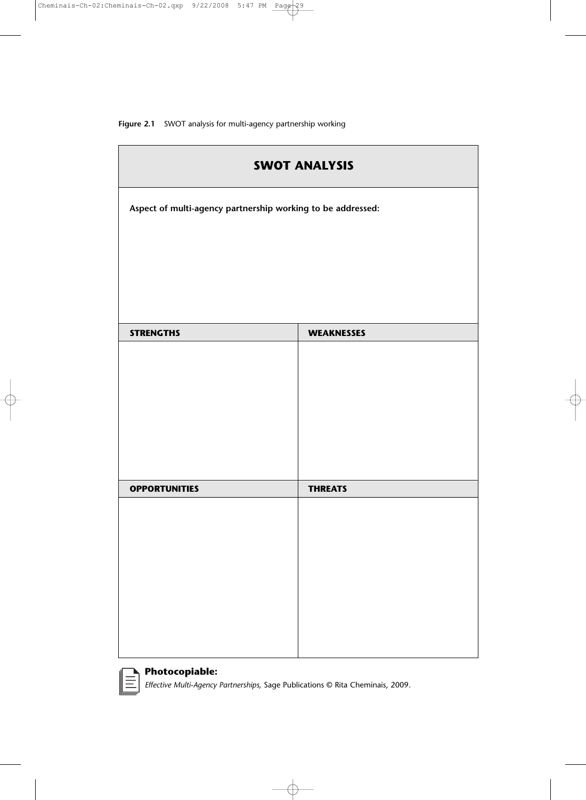### **Figure 2.1** SWOT analysis for multi-agency partnership working





# **Photocopiable:**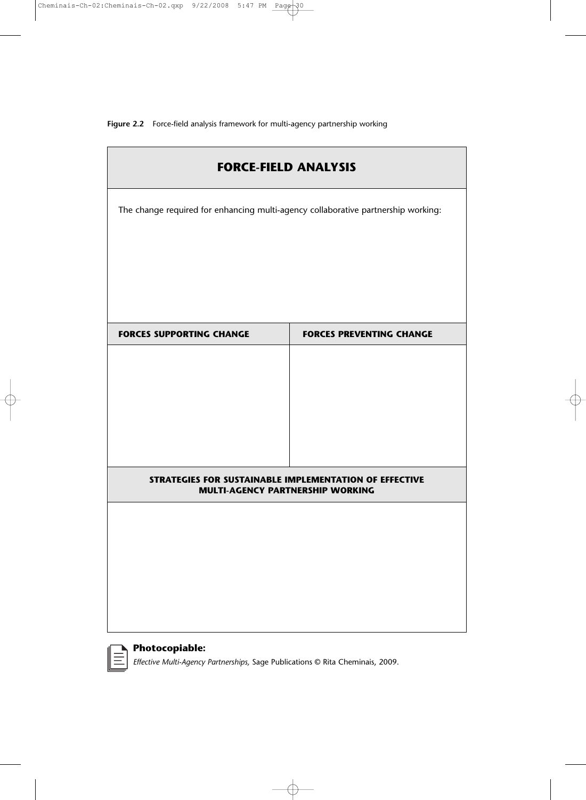### **Figure 2.2** Force-field analysis framework for multi-agency partnership working



# **Photocopiable:**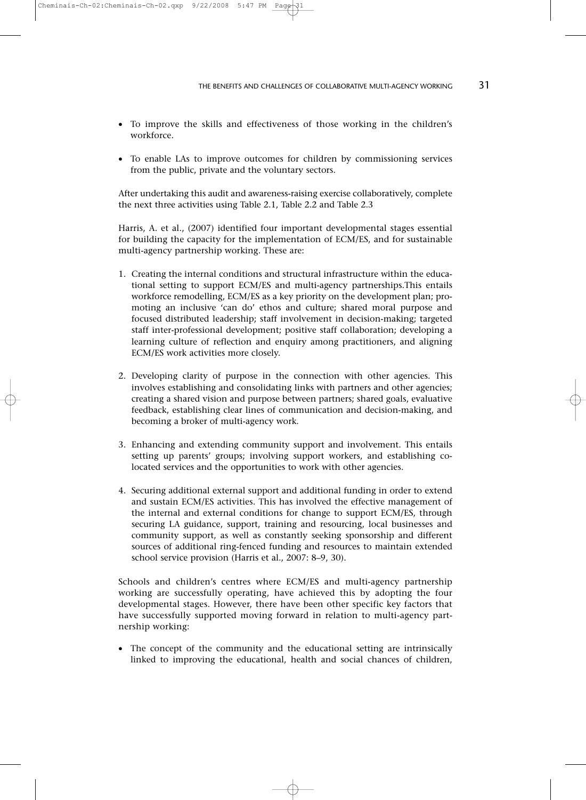- To improve the skills and effectiveness of those working in the children's workforce.
- To enable LAs to improve outcomes for children by commissioning services from the public, private and the voluntary sectors.

After undertaking this audit and awareness-raising exercise collaboratively, complete the next three activities using Table 2.1, Table 2.2 and Table 2.3

Harris, A. et al., (2007) identified four important developmental stages essential for building the capacity for the implementation of ECM/ES, and for sustainable multi-agency partnership working. These are:

- 1. Creating the internal conditions and structural infrastructure within the educational setting to support ECM/ES and multi-agency partnerships.This entails workforce remodelling, ECM/ES as a key priority on the development plan; promoting an inclusive 'can do' ethos and culture; shared moral purpose and focused distributed leadership; staff involvement in decision-making; targeted staff inter-professional development; positive staff collaboration; developing a learning culture of reflection and enquiry among practitioners, and aligning ECM/ES work activities more closely.
- 2. Developing clarity of purpose in the connection with other agencies. This involves establishing and consolidating links with partners and other agencies; creating a shared vision and purpose between partners; shared goals, evaluative feedback, establishing clear lines of communication and decision-making, and becoming a broker of multi-agency work.
- 3. Enhancing and extending community support and involvement. This entails setting up parents' groups; involving support workers, and establishing colocated services and the opportunities to work with other agencies.
- 4. Securing additional external support and additional funding in order to extend and sustain ECM/ES activities. This has involved the effective management of the internal and external conditions for change to support ECM/ES, through securing LA guidance, support, training and resourcing, local businesses and community support, as well as constantly seeking sponsorship and different sources of additional ring-fenced funding and resources to maintain extended school service provision (Harris et al., 2007: 8–9, 30).

Schools and children's centres where ECM/ES and multi-agency partnership working are successfully operating, have achieved this by adopting the four developmental stages. However, there have been other specific key factors that have successfully supported moving forward in relation to multi-agency partnership working:

• The concept of the community and the educational setting are intrinsically linked to improving the educational, health and social chances of children,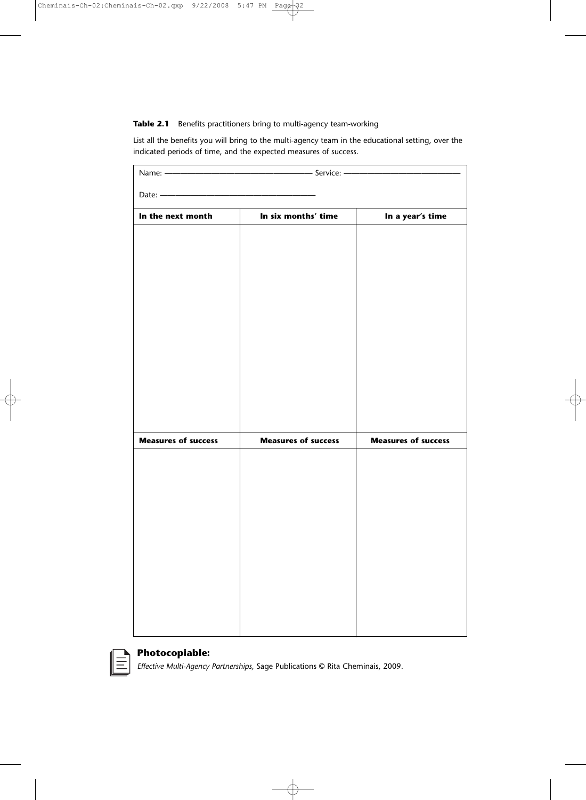### **Table 2.1** Benefits practitioners bring to multi-agency team-working

List all the benefits you will bring to the multi-agency team in the educational setting, over the indicated periods of time, and the expected measures of success.

| $\text{Date:} \begin{tabular}{l} \textbf{Date:} \end{tabular}$ |                            |                            |  |  |
|----------------------------------------------------------------|----------------------------|----------------------------|--|--|
| In the next month                                              | In six months' time        | In a year's time           |  |  |
|                                                                |                            |                            |  |  |
|                                                                |                            |                            |  |  |
|                                                                |                            |                            |  |  |
|                                                                |                            |                            |  |  |
|                                                                |                            |                            |  |  |
|                                                                |                            |                            |  |  |
|                                                                |                            |                            |  |  |
|                                                                |                            |                            |  |  |
|                                                                |                            |                            |  |  |
|                                                                |                            |                            |  |  |
|                                                                |                            |                            |  |  |
| <b>Measures of success</b>                                     | <b>Measures of success</b> | <b>Measures of success</b> |  |  |
|                                                                |                            |                            |  |  |
|                                                                |                            |                            |  |  |
|                                                                |                            |                            |  |  |
|                                                                |                            |                            |  |  |
|                                                                |                            |                            |  |  |
|                                                                |                            |                            |  |  |
|                                                                |                            |                            |  |  |
|                                                                |                            |                            |  |  |
|                                                                |                            |                            |  |  |
|                                                                |                            |                            |  |  |



# **Photocopiable:**

*Effective Multi-Agency Partnerships,* Sage Publications © Rita Cheminais, 2009.

↔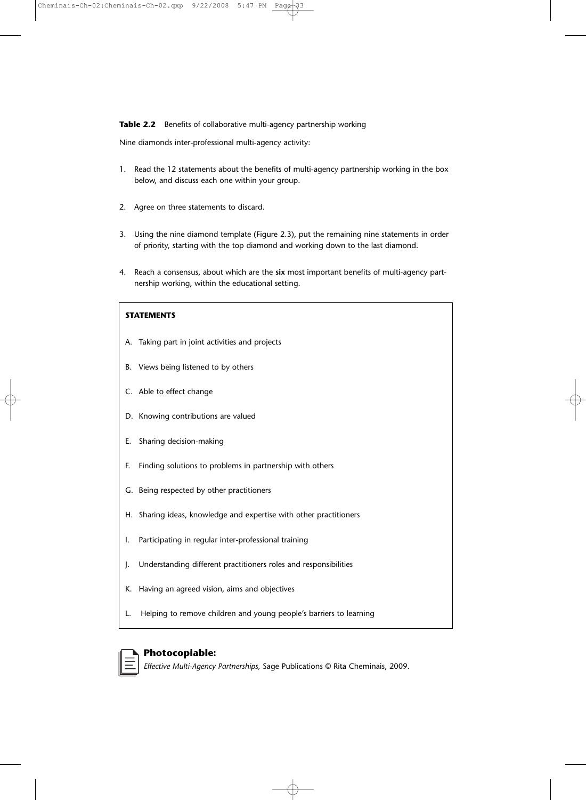#### **Table 2.2** Benefits of collaborative multi-agency partnership working

Nine diamonds inter-professional multi-agency activity:

- 1. Read the 12 statements about the benefits of multi-agency partnership working in the box below, and discuss each one within your group.
- 2. Agree on three statements to discard.
- 3. Using the nine diamond template (Figure 2.3), put the remaining nine statements in order of priority, starting with the top diamond and working down to the last diamond.
- 4. Reach a consensus, about which are the **six** most important benefits of multi-agency partnership working, within the educational setting.

### **STATEMENTS**

- A. Taking part in joint activities and projects
- B. Views being listened to by others
- C. Able to effect change
- D. Knowing contributions are valued
- E. Sharing decision-making
- F. Finding solutions to problems in partnership with others
- G. Being respected by other practitioners
- H. Sharing ideas, knowledge and expertise with other practitioners
- I. Participating in regular inter-professional training
- J. Understanding different practitioners roles and responsibilities
- K. Having an agreed vision, aims and objectives
- L. Helping to remove children and young people's barriers to learning



### **Photocopiable:**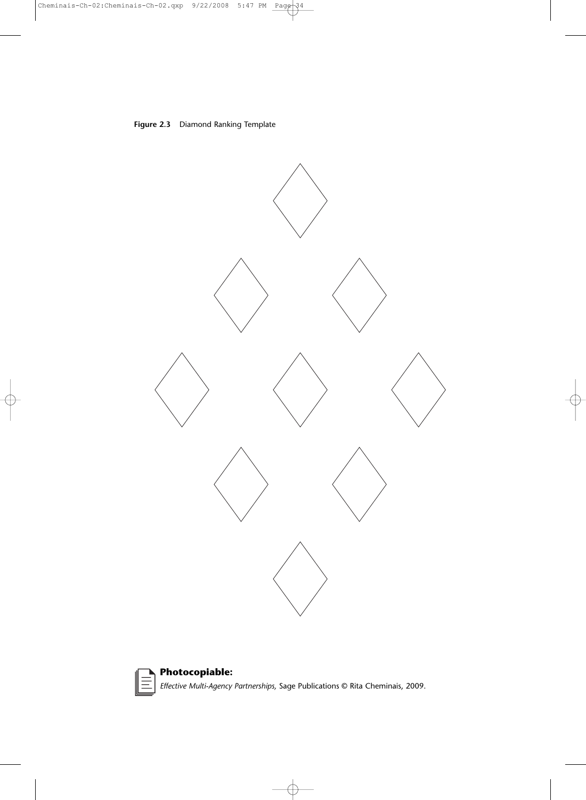





**Photocopiable:**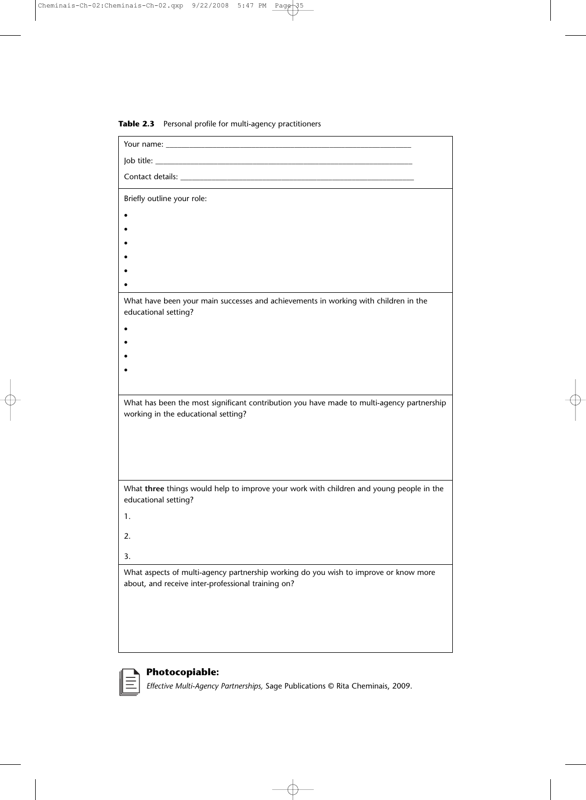| Briefly outline your role:                                                                                                                 |
|--------------------------------------------------------------------------------------------------------------------------------------------|
|                                                                                                                                            |
|                                                                                                                                            |
|                                                                                                                                            |
|                                                                                                                                            |
|                                                                                                                                            |
|                                                                                                                                            |
| What have been your main successes and achievements in working with children in the<br>educational setting?                                |
|                                                                                                                                            |
|                                                                                                                                            |
|                                                                                                                                            |
|                                                                                                                                            |
|                                                                                                                                            |
| What has been the most significant contribution you have made to multi-agency partnership<br>working in the educational setting?           |
|                                                                                                                                            |
|                                                                                                                                            |
|                                                                                                                                            |
|                                                                                                                                            |
| What three things would help to improve your work with children and young people in the<br>educational setting?                            |
| 1.                                                                                                                                         |
| 2.                                                                                                                                         |
| 3.                                                                                                                                         |
| What aspects of multi-agency partnership working do you wish to improve or know more<br>about, and receive inter-professional training on? |
|                                                                                                                                            |
|                                                                                                                                            |
|                                                                                                                                            |
|                                                                                                                                            |
|                                                                                                                                            |

**Table 2.3** Personal profile for multi-agency practitioners

# **Photocopiable:**

*Effective Multi-Agency Partnerships,* Sage Publications © Rita Cheminais, 2009.

 $\overline{\bigoplus}$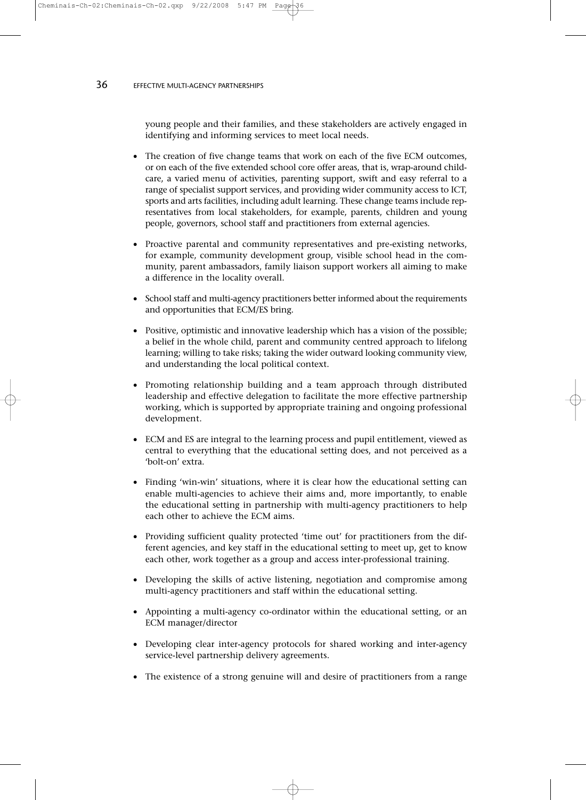young people and their families, and these stakeholders are actively engaged in identifying and informing services to meet local needs.

- The creation of five change teams that work on each of the five ECM outcomes, or on each of the five extended school core offer areas, that is, wrap-around childcare, a varied menu of activities, parenting support, swift and easy referral to a range of specialist support services, and providing wider community access to ICT, sports and arts facilities, including adult learning. These change teams include representatives from local stakeholders, for example, parents, children and young people, governors, school staff and practitioners from external agencies.
- Proactive parental and community representatives and pre-existing networks, for example, community development group, visible school head in the community, parent ambassadors, family liaison support workers all aiming to make a difference in the locality overall.
- School staff and multi-agency practitioners better informed about the requirements and opportunities that ECM/ES bring.
- Positive, optimistic and innovative leadership which has a vision of the possible; a belief in the whole child, parent and community centred approach to lifelong learning; willing to take risks; taking the wider outward looking community view, and understanding the local political context.
- Promoting relationship building and a team approach through distributed leadership and effective delegation to facilitate the more effective partnership working, which is supported by appropriate training and ongoing professional development.
- ECM and ES are integral to the learning process and pupil entitlement, viewed as central to everything that the educational setting does, and not perceived as a 'bolt-on' extra.
- Finding 'win-win' situations, where it is clear how the educational setting can enable multi-agencies to achieve their aims and, more importantly, to enable the educational setting in partnership with multi-agency practitioners to help each other to achieve the ECM aims.
- Providing sufficient quality protected 'time out' for practitioners from the different agencies, and key staff in the educational setting to meet up, get to know each other, work together as a group and access inter-professional training.
- Developing the skills of active listening, negotiation and compromise among multi-agency practitioners and staff within the educational setting.
- Appointing a multi-agency co-ordinator within the educational setting, or an ECM manager/director
- Developing clear inter-agency protocols for shared working and inter-agency service-level partnership delivery agreements.
- The existence of a strong genuine will and desire of practitioners from a range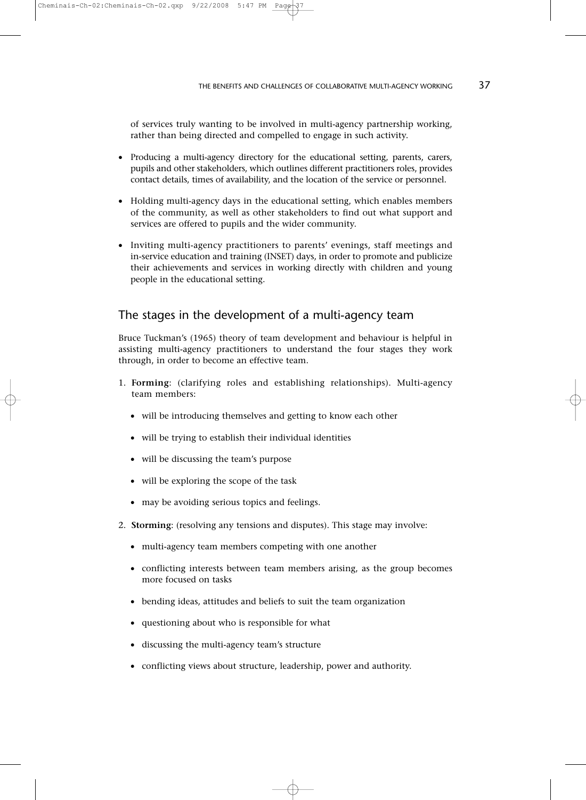of services truly wanting to be involved in multi-agency partnership working, rather than being directed and compelled to engage in such activity.

- Producing a multi-agency directory for the educational setting, parents, carers, pupils and other stakeholders, which outlines different practitioners roles, provides contact details, times of availability, and the location of the service or personnel.
- Holding multi-agency days in the educational setting, which enables members of the community, as well as other stakeholders to find out what support and services are offered to pupils and the wider community.
- Inviting multi-agency practitioners to parents' evenings, staff meetings and in-service education and training (INSET) days, in order to promote and publicize their achievements and services in working directly with children and young people in the educational setting.

# The stages in the development of a multi-agency team

Bruce Tuckman's (1965) theory of team development and behaviour is helpful in assisting multi-agency practitioners to understand the four stages they work through, in order to become an effective team.

- 1. **Forming**: (clarifying roles and establishing relationships). Multi-agency team members:
	- will be introducing themselves and getting to know each other
	- will be trying to establish their individual identities
	- will be discussing the team's purpose
	- will be exploring the scope of the task
	- may be avoiding serious topics and feelings.
- 2. **Storming**: (resolving any tensions and disputes). This stage may involve:
	- multi-agency team members competing with one another
	- conflicting interests between team members arising, as the group becomes more focused on tasks
	- bending ideas, attitudes and beliefs to suit the team organization
	- questioning about who is responsible for what
	- discussing the multi-agency team's structure
	- conflicting views about structure, leadership, power and authority.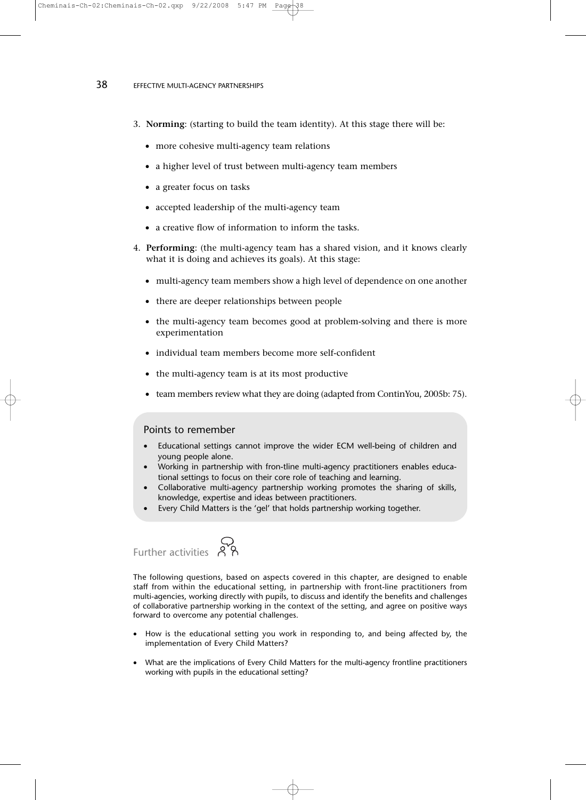- 3. **Norming**: (starting to build the team identity). At this stage there will be:
	- more cohesive multi-agency team relations
	- a higher level of trust between multi-agency team members
	- a greater focus on tasks
	- accepted leadership of the multi-agency team
	- a creative flow of information to inform the tasks.
- 4. **Performing**: (the multi-agency team has a shared vision, and it knows clearly what it is doing and achieves its goals). At this stage:
	- multi-agency team members show a high level of dependence on one another
	- there are deeper relationships between people
	- the multi-agency team becomes good at problem-solving and there is more experimentation
	- individual team members become more self-confident
	- the multi-agency team is at its most productive
	- team members review what they are doing (adapted from ContinYou, 2005b: 75).

#### Points to remember

- Educational settings cannot improve the wider ECM well-being of children and young people alone.
- Working in partnership with fron-tline multi-agency practitioners enables educational settings to focus on their core role of teaching and learning.
- Collaborative multi-agency partnership working promotes the sharing of skills, knowledge, expertise and ideas between practitioners.
- Every Child Matters is the 'gel' that holds partnership working together.



The following questions, based on aspects covered in this chapter, are designed to enable staff from within the educational setting, in partnership with front-line practitioners from multi-agencies, working directly with pupils, to discuss and identify the benefits and challenges of collaborative partnership working in the context of the setting, and agree on positive ways forward to overcome any potential challenges.

- How is the educational setting you work in responding to, and being affected by, the implementation of Every Child Matters?
- What are the implications of Every Child Matters for the multi-agency frontline practitioners working with pupils in the educational setting?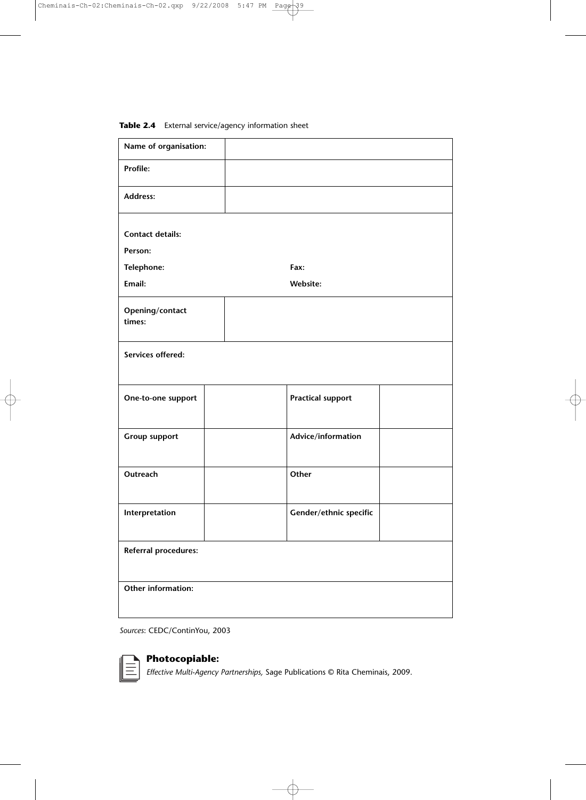### **Table 2.4** External service/agency information sheet

| Name of organisation:       |                          |  |  |
|-----------------------------|--------------------------|--|--|
| Profile:                    |                          |  |  |
| <b>Address:</b>             |                          |  |  |
| <b>Contact details:</b>     |                          |  |  |
| Person:                     |                          |  |  |
| Telephone:                  | Fax:                     |  |  |
| Email:                      | Website:                 |  |  |
| Opening/contact<br>times:   |                          |  |  |
| Services offered:           |                          |  |  |
| One-to-one support          | <b>Practical support</b> |  |  |
| <b>Group support</b>        | Advice/information       |  |  |
| Outreach                    | Other                    |  |  |
| Interpretation              | Gender/ethnic specific   |  |  |
| <b>Referral procedures:</b> |                          |  |  |
| Other information:          |                          |  |  |

*Sources*: CEDC/ContinYou, 2003



### **Photocopiable:**

*Effective Multi-Agency Partnerships,* Sage Publications © Rita Cheminais, 2009.

 $\overline{\bigoplus}$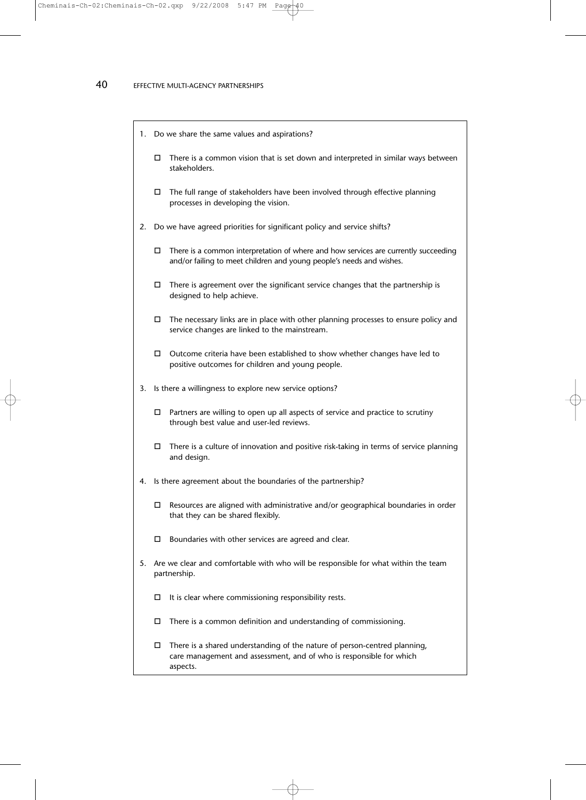- 1. Do we share the same values and aspirations?
	- $\Box$  There is a common vision that is set down and interpreted in similar ways between stakeholders.
	- □ The full range of stakeholders have been involved through effective planning processes in developing the vision.
- 2. Do we have agreed priorities for significant policy and service shifts?
	- □ There is a common interpretation of where and how services are currently succeeding and/or failing to meet children and young people's needs and wishes.
	- $\Box$  There is agreement over the significant service changes that the partnership is designed to help achieve.
	- $\Box$  The necessary links are in place with other planning processes to ensure policy and service changes are linked to the mainstream.
	- $\Box$  Outcome criteria have been established to show whether changes have led to positive outcomes for children and young people.
- 3. Is there a willingness to explore new service options?
	- □ Partners are willing to open up all aspects of service and practice to scrutiny through best value and user-led reviews.
	- □ There is a culture of innovation and positive risk-taking in terms of service planning and design.
- 4. Is there agreement about the boundaries of the partnership?
	- □ Resources are aligned with administrative and/or geographical boundaries in order that they can be shared flexibly.
	- □ Boundaries with other services are agreed and clear.
- 5. Are we clear and comfortable with who will be responsible for what within the team partnership.
	- $\Box$  It is clear where commissioning responsibility rests.
	- □ There is a common definition and understanding of commissioning.
	- □ There is a shared understanding of the nature of person-centred planning, care management and assessment, and of who is responsible for which aspects.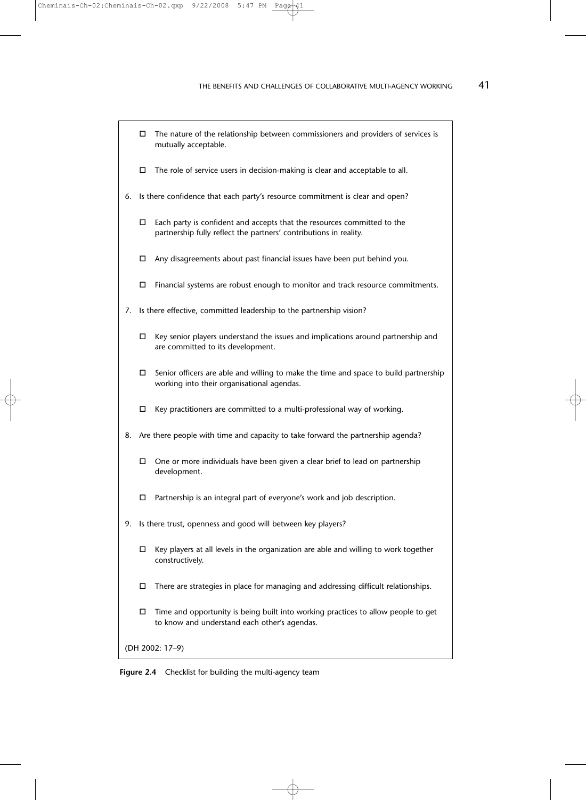THE BENEFITS AND CHALLENGES OF COLLABORATIVE MULTI-AGENCY WORKING  $\quad\quad 41$ 

- □ The nature of the relationship between commissioners and providers of services is mutually acceptable.
- □ The role of service users in decision-making is clear and acceptable to all.
- 6. Is there confidence that each party's resource commitment is clear and open?
	- □ Each party is confident and accepts that the resources committed to the partnership fully reflect the partners' contributions in reality.
	- □ Any disagreements about past financial issues have been put behind you.
	- □ Financial systems are robust enough to monitor and track resource commitments.
- 7. Is there effective, committed leadership to the partnership vision?
	- □ Key senior players understand the issues and implications around partnership and are committed to its development.
	- □ Senior officers are able and willing to make the time and space to build partnership working into their organisational agendas.
	- □ Key practitioners are committed to a multi-professional way of working.
- 8. Are there people with time and capacity to take forward the partnership agenda?
	- □ One or more individuals have been given a clear brief to lead on partnership development.
	- □ Partnership is an integral part of everyone's work and job description.
- 9. Is there trust, openness and good will between key players?
	- $\Box$  Key players at all levels in the organization are able and willing to work together constructively.
	- □ There are strategies in place for managing and addressing difficult relationships.
	- □ Time and opportunity is being built into working practices to allow people to get to know and understand each other's agendas.
- (DH 2002: 17–9)

**Figure 2.4** Checklist for building the multi-agency team